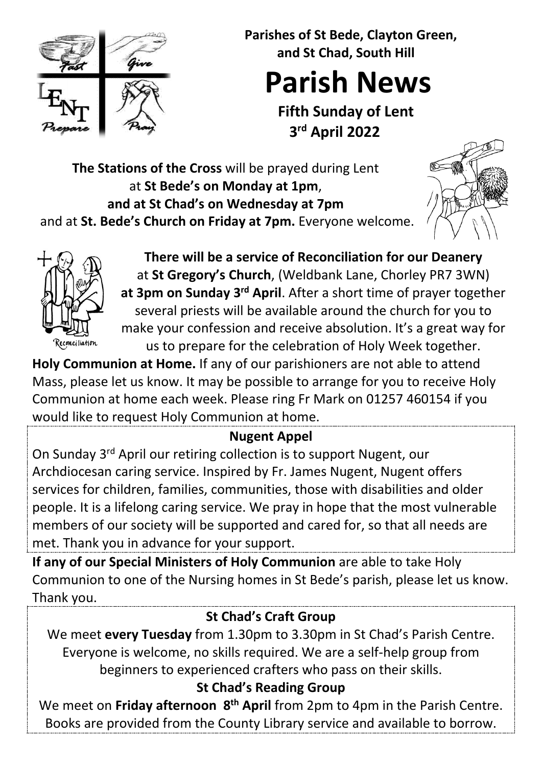

 **Parishes of St Bede, Clayton Green, and St Chad, South Hill**

# **Parish News**

**Fifth Sunday of Lent 3rd April 2022**

**The Stations of the Cross** will be prayed during Lent at **St Bede's on Monday at 1pm**, **and at St Chad's on Wednesday at 7pm** and at **St. Bede's Church on Friday at 7pm.** Everyone welcome.





**There will be a service of Reconciliation for our Deanery** at **St Gregory's Church**, (Weldbank Lane, Chorley PR7 3WN) **at 3pm on Sunday 3rd April**. After a short time of prayer together several priests will be available around the church for you to make your confession and receive absolution. It's a great way for us to prepare for the celebration of Holy Week together.

**Holy Communion at Home.** If any of our parishioners are not able to attend Mass, please let us know. It may be possible to arrange for you to receive Holy Communion at home each week. Please ring Fr Mark on 01257 460154 if you would like to request Holy Communion at home.

# **Nugent Appel**

On Sunday 3rd April our retiring collection is to support Nugent, our Archdiocesan caring service. Inspired by Fr. James Nugent, Nugent offers services for children, families, communities, those with disabilities and older people. It is a lifelong caring service. We pray in hope that the most vulnerable members of our society will be supported and cared for, so that all needs are met. Thank you in advance for your support.

**If any of our Special Ministers of Holy Communion** are able to take Holy Communion to one of the Nursing homes in St Bede's parish, please let us know. Thank you.

# **St Chad's Craft Group**

We meet **every Tuesday** from 1.30pm to 3.30pm in St Chad's Parish Centre. Everyone is welcome, no skills required. We are a self-help group from beginners to experienced crafters who pass on their skills.

# **St Chad's Reading Group**

We meet on **Friday afternoon 8th April** from 2pm to 4pm in the Parish Centre. Books are provided from the County Library service and available to borrow.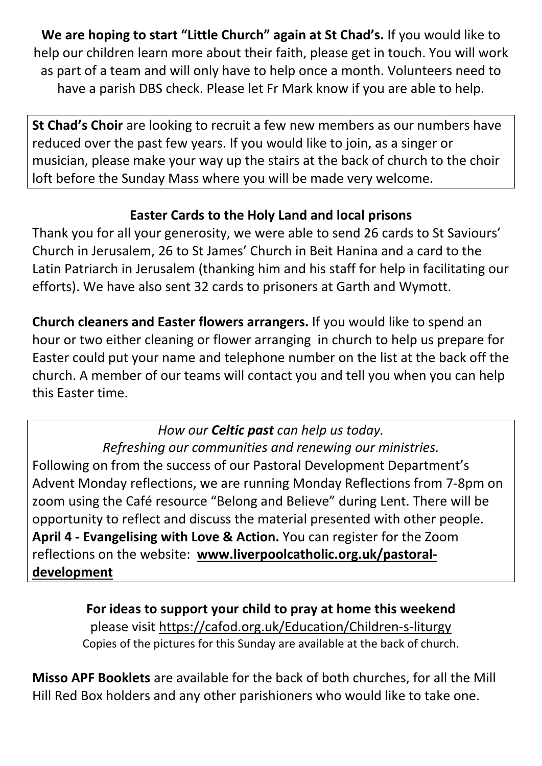**We are hoping to start "Little Church" again at St Chad's.** If you would like to help our children learn more about their faith, please get in touch. You will work as part of a team and will only have to help once a month. Volunteers need to have a parish DBS check. Please let Fr Mark know if you are able to help.

**St Chad's Choir** are looking to recruit a few new members as our numbers have reduced over the past few years. If you would like to join, as a singer or musician, please make your way up the stairs at the back of church to the choir loft before the Sunday Mass where you will be made very welcome.

### **Easter Cards to the Holy Land and local prisons**

Thank you for all your generosity, we were able to send 26 cards to St Saviours' Church in Jerusalem, 26 to St James' Church in Beit Hanina and a card to the Latin Patriarch in Jerusalem (thanking him and his staff for help in facilitating our efforts). We have also sent 32 cards to prisoners at Garth and Wymott.

**Church cleaners and Easter flowers arrangers.** If you would like to spend an hour or two either cleaning or flower arranging in church to help us prepare for Easter could put your name and telephone number on the list at the back off the church. A member of our teams will contact you and tell you when you can help this Easter time.

### *How our Celtic past can help us today.*

*Refreshing our communities and renewing our ministries.*  Following on from the success of our Pastoral Development Department's Advent Monday reflections, we are running Monday Reflections from 7-8pm on zoom using the Café resource "Belong and Believe" during Lent. There will be opportunity to reflect and discuss the material presented with other people. **April 4 - Evangelising with Love & Action.** You can register for the Zoom reflections on the website: **[www.liverpoolcatholic.org.uk/pastoral](http://www.liverpoolcatholic.org.uk/pastoral-development)[development](http://www.liverpoolcatholic.org.uk/pastoral-development)**

> **For ideas to support your child to pray at home this weekend**  please visit<https://cafod.org.uk/Education/Children-s-liturgy> Copies of the pictures for this Sunday are available at the back of church.

**Misso APF Booklets** are available for the back of both churches, for all the Mill Hill Red Box holders and any other parishioners who would like to take one.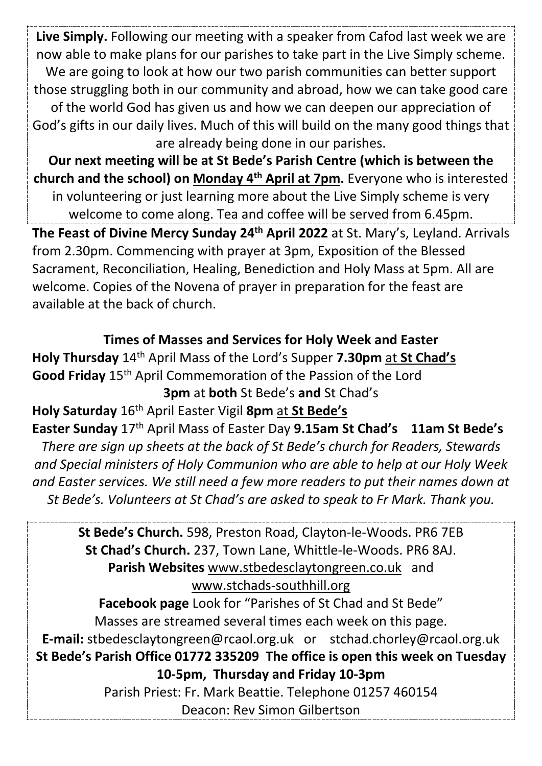**Live Simply.** Following our meeting with a speaker from Cafod last week we are now able to make plans for our parishes to take part in the Live Simply scheme. We are going to look at how our two parish communities can better support those struggling both in our community and abroad, how we can take good care of the world God has given us and how we can deepen our appreciation of God's gifts in our daily lives. Much of this will build on the many good things that are already being done in our parishes.

**Our next meeting will be at St Bede's Parish Centre (which is between the church and the school) on Monday 4th April at 7pm.** Everyone who is interested in volunteering or just learning more about the Live Simply scheme is very welcome to come along. Tea and coffee will be served from 6.45pm.

**The Feast of Divine Mercy Sunday 24th April 2022** at St. Mary's, Leyland. Arrivals from 2.30pm. Commencing with prayer at 3pm, Exposition of the Blessed Sacrament, Reconciliation, Healing, Benediction and Holy Mass at 5pm. All are welcome. Copies of the Novena of prayer in preparation for the feast are available at the back of church.

**Times of Masses and Services for Holy Week and Easter Holy Thursday** 14th April Mass of the Lord's Supper **7.30pm** at **St Chad's Good Friday** 15th April Commemoration of the Passion of the Lord **3pm** at **both** St Bede's **and** St Chad's **Holy Saturday** 16th April Easter Vigil **8pm** at **St Bede's Easter Sunday** 17th April Mass of Easter Day **9.15am St Chad's 11am St Bede's** *There are sign up sheets at the back of St Bede's church for Readers, Stewards and Special ministers of Holy Communion who are able to help at our Holy Week and Easter services. We still need a few more readers to put their names down at St Bede's. Volunteers at St Chad's are asked to speak to Fr Mark. Thank you.* 

**St Bede's Church.** 598, Preston Road, Clayton-le-Woods. PR6 7EB **St Chad's Church.** 237, Town Lane, Whittle-le-Woods. PR6 8AJ. **Parish Websites** [www.stbedesclaytongreen.co.uk](http://www.stbedesclaytongreen.co.uk/) and [www.stchads-southhill.org](http://www.stchads-southhill.org/) **Facebook page** Look for "Parishes of St Chad and St Bede" Masses are streamed several times each week on this page. **E-mail:** [stbedesclaytongreen@rcaol.org.uk](mailto:stbedesclaytongreen@rcaol.org.uk) or [stchad.chorley@rcaol.org.uk](mailto:stchad.chorley@rcaol.org.uk) **St Bede's Parish Office 01772 335209 The office is open this week on Tuesday 10-5pm, Thursday and Friday 10-3pm**  Parish Priest: Fr. Mark Beattie. Telephone 01257 460154 Deacon: Rev Simon Gilbertson